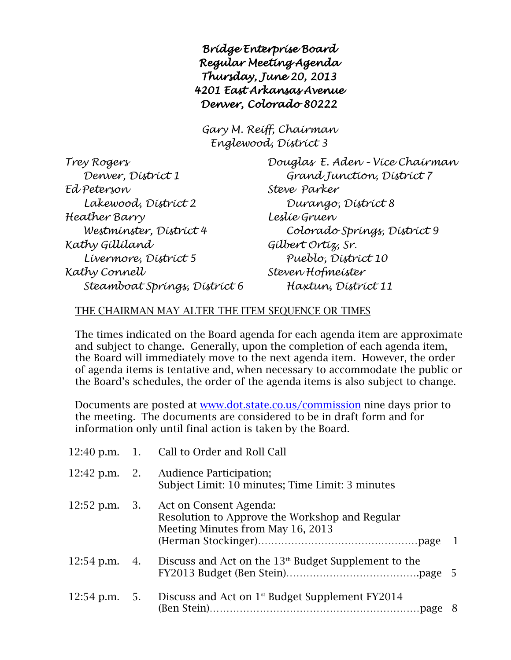*Bridge Enterprise Board Regular Meeting Agenda Thursday, June 20, 2013 4201 East Arkansas Avenue Denver, Colorado 80222* 

*Gary M. Reiff, Chairman Englewood, District 3*

| Trey Rogers                   |
|-------------------------------|
| Denver, District 1            |
| Ed Peterson                   |
| Lakewood, Dístríct 2          |
| Heather Barry                 |
| Westminster, District 4       |
| Kathy Gillíland               |
| Lívermore, Dístríct 5         |
| Kathy Connell                 |
| Steamboat Springs, District 6 |

*Trey Rogers Douglas E. Aden – Vice Chairman Denver, District 1 Grand Junction, District 7 Ed Peterson Steve Parker Lakewood, District 2 Durango, District 8 Heather Barry Leslie Gruen Westminster, District 4 Colorado Springs, District 9 Kathy Gilliland Gilbert Ortiz, Sr. Livermore, District 5 Pueblo, District 10 Kathy Connell Steven Hofmeister Steamboat Springs, District 6 Haxtun, District 11*

## THE CHAIRMAN MAY ALTER THE ITEM SEQUENCE OR TIMES

The times indicated on the Board agenda for each agenda item are approximate and subject to change. Generally, upon the completion of each agenda item, the Board will immediately move to the next agenda item. However, the order of agenda items is tentative and, when necessary to accommodate the public or the Board's schedules, the order of the agenda items is also subject to change.

Documents are posted at [www.dot.state.co.us/commission](http://www.dot.state.co.us/commission) nine days prior to the meeting. The documents are considered to be in draft form and for information only until final action is taken by the Board.

|                               | 12:40 p.m. 1. Call to Order and Roll Call                                                                     |     |
|-------------------------------|---------------------------------------------------------------------------------------------------------------|-----|
|                               | 12:42 p.m. 2. Audience Participation;<br>Subject Limit: 10 minutes; Time Limit: 3 minutes                     |     |
| $12:52 \text{ p.m.} \quad 3.$ | Act on Consent Agenda:<br>Resolution to Approve the Workshop and Regular<br>Meeting Minutes from May 16, 2013 |     |
| $12:54$ p.m. 4.               | Discuss and Act on the 13 <sup>th</sup> Budget Supplement to the                                              |     |
| $12:54$ p.m. 5.               | Discuss and Act on 1 <sup>st</sup> Budget Supplement FY2014                                                   | - 8 |